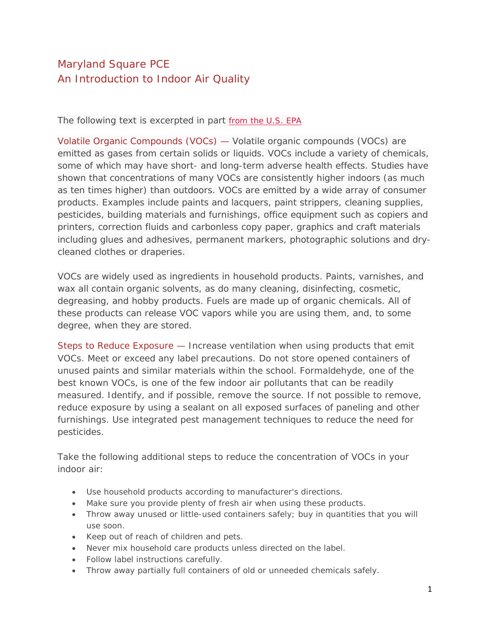## Maryland Square PCE An Introduction to Indoor Air Quality

The following text is excerpted in part [from the U.S. EPA](http://www.epa.gov/iaq/voc.html)

Volatile Organic Compounds (VOCs) — Volatile organic compounds (VOCs) are emitted as gases from certain solids or liquids. VOCs include a variety of chemicals, some of which may have short- and long-term adverse health effects. Studies have shown that concentrations of many VOCs are consistently higher indoors (as much as ten times higher) than outdoors. VOCs are emitted by a wide array of consumer products. Examples include paints and lacquers, paint strippers, cleaning supplies, pesticides, building materials and furnishings, office equipment such as copiers and printers, correction fluids and carbonless copy paper, graphics and craft materials including glues and adhesives, permanent markers, photographic solutions and drycleaned clothes or draperies.

VOCs are widely used as ingredients in household products. Paints, varnishes, and wax all contain organic solvents, as do many cleaning, disinfecting, cosmetic, degreasing, and hobby products. Fuels are made up of organic chemicals. All of these products can release VOC vapors while you are using them, and, to some degree, when they are stored.

Steps to Reduce Exposure — Increase ventilation when using products that emit VOCs. Meet or exceed any label precautions. Do not store opened containers of unused paints and similar materials within the school. Formaldehyde, one of the best known VOCs, is one of the few indoor air pollutants that can be readily measured. Identify, and if possible, remove the source. If not possible to remove, reduce exposure by using a sealant on all exposed surfaces of paneling and other furnishings. Use integrated pest management techniques to reduce the need for pesticides.

Take the following additional steps to reduce the concentration of VOCs in your indoor air:

- Use household products according to manufacturer's directions.
- Make sure you provide plenty of fresh air when using these products.
- Throw away unused or little-used containers safely; buy in quantities that you will use soon.
- Keep out of reach of children and pets.
- Never mix household care products unless directed on the label.
- Follow label instructions carefully.
- Throw away partially full containers of old or unneeded chemicals safely.